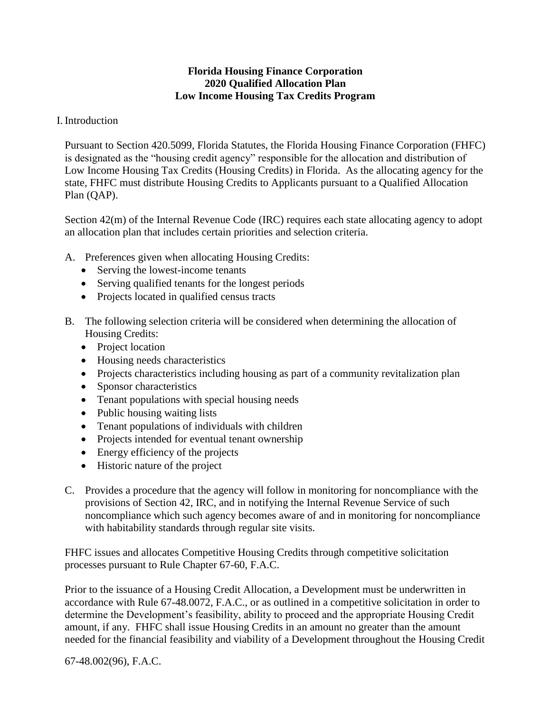## **Florida Housing Finance Corporation 2020 Qualified Allocation Plan Low Income Housing Tax Credits Program**

## I. Introduction

Pursuant to Section 420.5099, Florida Statutes, the Florida Housing Finance Corporation (FHFC) is designated as the "housing credit agency" responsible for the allocation and distribution of Low Income Housing Tax Credits (Housing Credits) in Florida. As the allocating agency for the state, FHFC must distribute Housing Credits to Applicants pursuant to a Qualified Allocation Plan (QAP).

Section 42(m) of the Internal Revenue Code (IRC) requires each state allocating agency to adopt an allocation plan that includes certain priorities and selection criteria.

- A. Preferences given when allocating Housing Credits:
	- Serving the lowest-income tenants
	- Serving qualified tenants for the longest periods
	- Projects located in qualified census tracts
- B. The following selection criteria will be considered when determining the allocation of Housing Credits:
	- Project location
	- Housing needs characteristics
	- Projects characteristics including housing as part of a community revitalization plan
	- Sponsor characteristics
	- Tenant populations with special housing needs
	- Public housing waiting lists
	- Tenant populations of individuals with children
	- Projects intended for eventual tenant ownership
	- Energy efficiency of the projects
	- Historic nature of the project
- C. Provides a procedure that the agency will follow in monitoring for noncompliance with the provisions of Section 42, IRC, and in notifying the Internal Revenue Service of such noncompliance which such agency becomes aware of and in monitoring for noncompliance with habitability standards through regular site visits.

FHFC issues and allocates Competitive Housing Credits through competitive solicitation processes pursuant to Rule Chapter 67-60, F.A.C.

Prior to the issuance of a Housing Credit Allocation, a Development must be underwritten in accordance with Rule 67-48.0072, F.A.C., or as outlined in a competitive solicitation in order to determine the Development's feasibility, ability to proceed and the appropriate Housing Credit amount, if any. FHFC shall issue Housing Credits in an amount no greater than the amount needed for the financial feasibility and viability of a Development throughout the Housing Credit

67-48.002(96), F.A.C.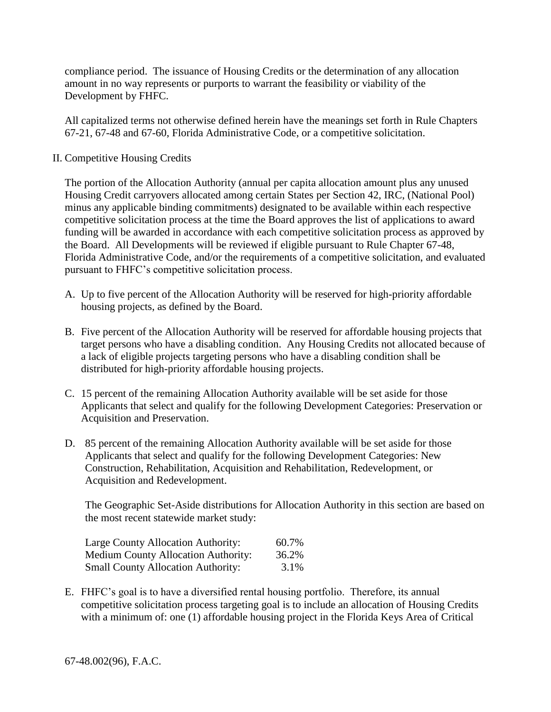compliance period. The issuance of Housing Credits or the determination of any allocation amount in no way represents or purports to warrant the feasibility or viability of the Development by FHFC.

All capitalized terms not otherwise defined herein have the meanings set forth in Rule Chapters 67-21, 67-48 and 67-60, Florida Administrative Code, or a competitive solicitation.

II. Competitive Housing Credits

The portion of the Allocation Authority (annual per capita allocation amount plus any unused Housing Credit carryovers allocated among certain States per Section 42, IRC, (National Pool) minus any applicable binding commitments) designated to be available within each respective competitive solicitation process at the time the Board approves the list of applications to award funding will be awarded in accordance with each competitive solicitation process as approved by the Board. All Developments will be reviewed if eligible pursuant to Rule Chapter 67-48, Florida Administrative Code, and/or the requirements of a competitive solicitation, and evaluated pursuant to FHFC's competitive solicitation process.

- A. Up to five percent of the Allocation Authority will be reserved for high-priority affordable housing projects, as defined by the Board.
- B. Five percent of the Allocation Authority will be reserved for affordable housing projects that target persons who have a disabling condition. Any Housing Credits not allocated because of a lack of eligible projects targeting persons who have a disabling condition shall be distributed for high-priority affordable housing projects.
- C. 15 percent of the remaining Allocation Authority available will be set aside for those Applicants that select and qualify for the following Development Categories: Preservation or Acquisition and Preservation.
- D. 85 percent of the remaining Allocation Authority available will be set aside for those Applicants that select and qualify for the following Development Categories: New Construction, Rehabilitation, Acquisition and Rehabilitation, Redevelopment, or Acquisition and Redevelopment.

The Geographic Set-Aside distributions for Allocation Authority in this section are based on the most recent statewide market study:

| Large County Allocation Authority:         | 60.7% |
|--------------------------------------------|-------|
| <b>Medium County Allocation Authority:</b> | 36.2% |
| <b>Small County Allocation Authority:</b>  | 3.1%  |

E. FHFC's goal is to have a diversified rental housing portfolio. Therefore, its annual competitive solicitation process targeting goal is to include an allocation of Housing Credits with a minimum of: one (1) affordable housing project in the Florida Keys Area of Critical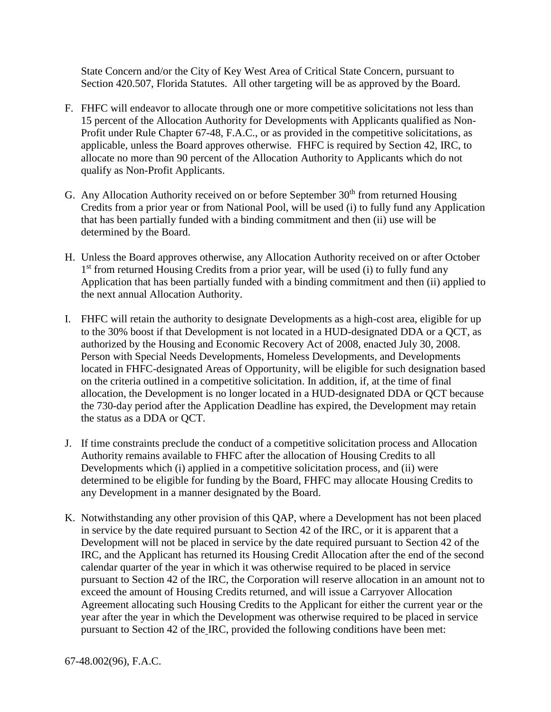State Concern and/or the City of Key West Area of Critical State Concern, pursuant to Section 420.507, Florida Statutes. All other targeting will be as approved by the Board.

- F. FHFC will endeavor to allocate through one or more competitive solicitations not less than 15 percent of the Allocation Authority for Developments with Applicants qualified as Non-Profit under Rule Chapter 67-48, F.A.C., or as provided in the competitive solicitations, as applicable, unless the Board approves otherwise. FHFC is required by Section 42, IRC, to allocate no more than 90 percent of the Allocation Authority to Applicants which do not qualify as Non-Profit Applicants.
- G. Any Allocation Authority received on or before September  $30<sup>th</sup>$  from returned Housing Credits from a prior year or from National Pool, will be used (i) to fully fund any Application that has been partially funded with a binding commitment and then (ii) use will be determined by the Board.
- H. Unless the Board approves otherwise, any Allocation Authority received on or after October 1<sup>st</sup> from returned Housing Credits from a prior year, will be used (i) to fully fund any Application that has been partially funded with a binding commitment and then (ii) applied to the next annual Allocation Authority.
- I. FHFC will retain the authority to designate Developments as a high-cost area, eligible for up to the 30% boost if that Development is not located in a HUD-designated DDA or a QCT, as authorized by the Housing and Economic Recovery Act of 2008, enacted July 30, 2008. Person with Special Needs Developments, Homeless Developments, and Developments located in FHFC-designated Areas of Opportunity, will be eligible for such designation based on the criteria outlined in a competitive solicitation. In addition, if, at the time of final allocation, the Development is no longer located in a HUD-designated DDA or QCT because the 730-day period after the Application Deadline has expired, the Development may retain the status as a DDA or QCT.
- J. If time constraints preclude the conduct of a competitive solicitation process and Allocation Authority remains available to FHFC after the allocation of Housing Credits to all Developments which (i) applied in a competitive solicitation process, and (ii) were determined to be eligible for funding by the Board, FHFC may allocate Housing Credits to any Development in a manner designated by the Board.
- K. Notwithstanding any other provision of this QAP, where a Development has not been placed in service by the date required pursuant to Section 42 of the IRC, or it is apparent that a Development will not be placed in service by the date required pursuant to Section 42 of the IRC, and the Applicant has returned its Housing Credit Allocation after the end of the second calendar quarter of the year in which it was otherwise required to be placed in service pursuant to Section 42 of the IRC, the Corporation will reserve allocation in an amount not to exceed the amount of Housing Credits returned, and will issue a Carryover Allocation Agreement allocating such Housing Credits to the Applicant for either the current year or the year after the year in which the Development was otherwise required to be placed in service pursuant to Section 42 of the IRC, provided the following conditions have been met: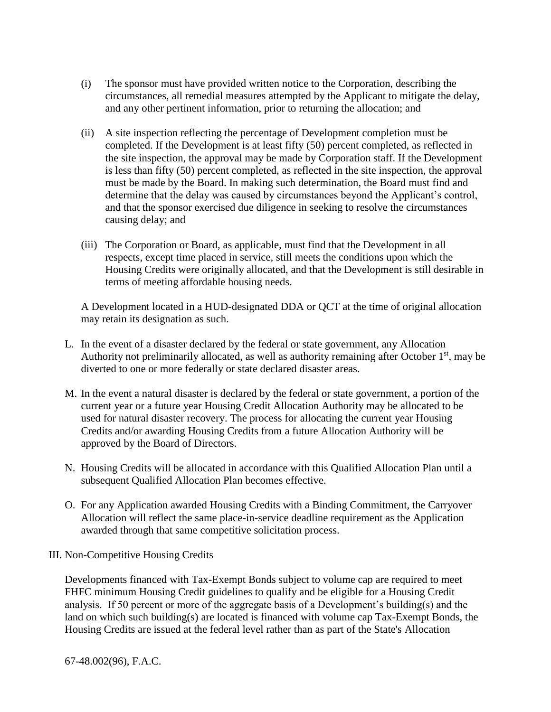- (i) The sponsor must have provided written notice to the Corporation, describing the circumstances, all remedial measures attempted by the Applicant to mitigate the delay, and any other pertinent information, prior to returning the allocation; and
- (ii) A site inspection reflecting the percentage of Development completion must be completed. If the Development is at least fifty (50) percent completed, as reflected in the site inspection, the approval may be made by Corporation staff. If the Development is less than fifty (50) percent completed, as reflected in the site inspection, the approval must be made by the Board. In making such determination, the Board must find and determine that the delay was caused by circumstances beyond the Applicant's control, and that the sponsor exercised due diligence in seeking to resolve the circumstances causing delay; and
- (iii) The Corporation or Board, as applicable, must find that the Development in all respects, except time placed in service, still meets the conditions upon which the Housing Credits were originally allocated, and that the Development is still desirable in terms of meeting affordable housing needs.

A Development located in a HUD-designated DDA or QCT at the time of original allocation may retain its designation as such.

- L. In the event of a disaster declared by the federal or state government, any Allocation Authority not preliminarily allocated, as well as authority remaining after October 1<sup>st</sup>, may be diverted to one or more federally or state declared disaster areas.
- M. In the event a natural disaster is declared by the federal or state government, a portion of the current year or a future year Housing Credit Allocation Authority may be allocated to be used for natural disaster recovery. The process for allocating the current year Housing Credits and/or awarding Housing Credits from a future Allocation Authority will be approved by the Board of Directors.
- N. Housing Credits will be allocated in accordance with this Qualified Allocation Plan until a subsequent Qualified Allocation Plan becomes effective.
- O. For any Application awarded Housing Credits with a Binding Commitment, the Carryover Allocation will reflect the same place-in-service deadline requirement as the Application awarded through that same competitive solicitation process.
- III. Non-Competitive Housing Credits

Developments financed with Tax-Exempt Bonds subject to volume cap are required to meet FHFC minimum Housing Credit guidelines to qualify and be eligible for a Housing Credit analysis. If 50 percent or more of the aggregate basis of a Development's building(s) and the land on which such building(s) are located is financed with volume cap Tax-Exempt Bonds, the Housing Credits are issued at the federal level rather than as part of the State's Allocation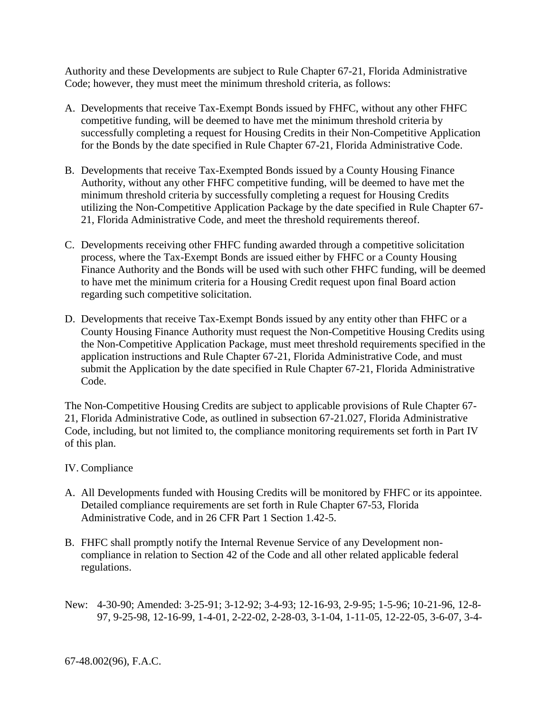Authority and these Developments are subject to Rule Chapter 67-21, Florida Administrative Code; however, they must meet the minimum threshold criteria, as follows:

- A. Developments that receive Tax-Exempt Bonds issued by FHFC, without any other FHFC competitive funding, will be deemed to have met the minimum threshold criteria by successfully completing a request for Housing Credits in their Non-Competitive Application for the Bonds by the date specified in Rule Chapter 67-21, Florida Administrative Code.
- B. Developments that receive Tax-Exempted Bonds issued by a County Housing Finance Authority, without any other FHFC competitive funding, will be deemed to have met the minimum threshold criteria by successfully completing a request for Housing Credits utilizing the Non-Competitive Application Package by the date specified in Rule Chapter 67- 21, Florida Administrative Code, and meet the threshold requirements thereof.
- C. Developments receiving other FHFC funding awarded through a competitive solicitation process, where the Tax-Exempt Bonds are issued either by FHFC or a County Housing Finance Authority and the Bonds will be used with such other FHFC funding, will be deemed to have met the minimum criteria for a Housing Credit request upon final Board action regarding such competitive solicitation.
- D. Developments that receive Tax-Exempt Bonds issued by any entity other than FHFC or a County Housing Finance Authority must request the Non-Competitive Housing Credits using the Non-Competitive Application Package, must meet threshold requirements specified in the application instructions and Rule Chapter 67-21, Florida Administrative Code, and must submit the Application by the date specified in Rule Chapter 67-21, Florida Administrative Code.

The Non-Competitive Housing Credits are subject to applicable provisions of Rule Chapter 67- 21, Florida Administrative Code, as outlined in subsection 67-21.027, Florida Administrative Code, including, but not limited to, the compliance monitoring requirements set forth in Part IV of this plan.

## IV. Compliance

- A. All Developments funded with Housing Credits will be monitored by FHFC or its appointee. Detailed compliance requirements are set forth in Rule Chapter 67-53, Florida Administrative Code, and in 26 CFR Part 1 Section 1.42-5.
- B. FHFC shall promptly notify the Internal Revenue Service of any Development noncompliance in relation to Section 42 of the Code and all other related applicable federal regulations.
- New: 4-30-90; Amended: 3-25-91; 3-12-92; 3-4-93; 12-16-93, 2-9-95; 1-5-96; 10-21-96, 12-8- 97, 9-25-98, 12-16-99, 1-4-01, 2-22-02, 2-28-03, 3-1-04, 1-11-05, 12-22-05, 3-6-07, 3-4-